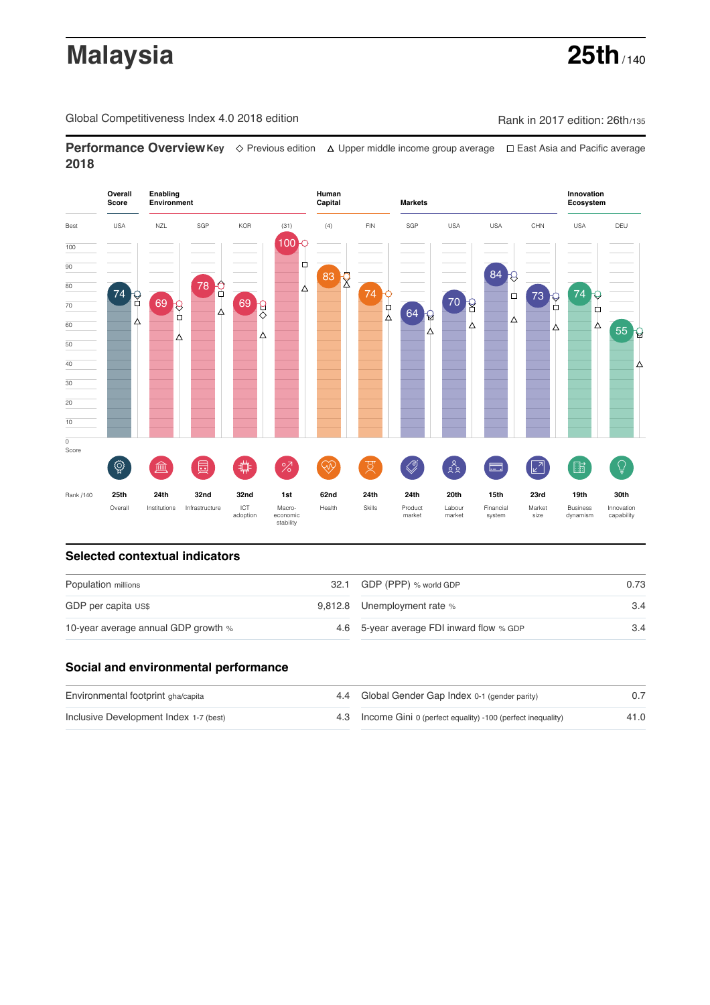# **Malaysia 25th**  $\frac{1}{140}$

Global Competitiveness Index 4.0 2018 edition Company Rank in 2017 edition: 26th/135

**Performance OverviewKey** Previous edition Upper middle income group average East Asia and Pacific average **2018**



# **Selected contextual indicators**

| Population millions                 | 32.1 GDP (PPP) % world GDP               | 0.73 |  |
|-------------------------------------|------------------------------------------|------|--|
| GDP per capita US\$                 | 9,812.8 Unemployment rate %              | 3.4  |  |
| 10-year average annual GDP growth % | 4.6 5-year average FDI inward flow % GDP | 3.4  |  |

## **Social and environmental performance**

| Environmental footprint gha/capita     | 4.4 Global Gender Gap Index 0-1 (gender parity)                |      |
|----------------------------------------|----------------------------------------------------------------|------|
| Inclusive Development Index 1-7 (best) | 4.3 Income Gini 0 (perfect equality) -100 (perfect inequality) | 41.0 |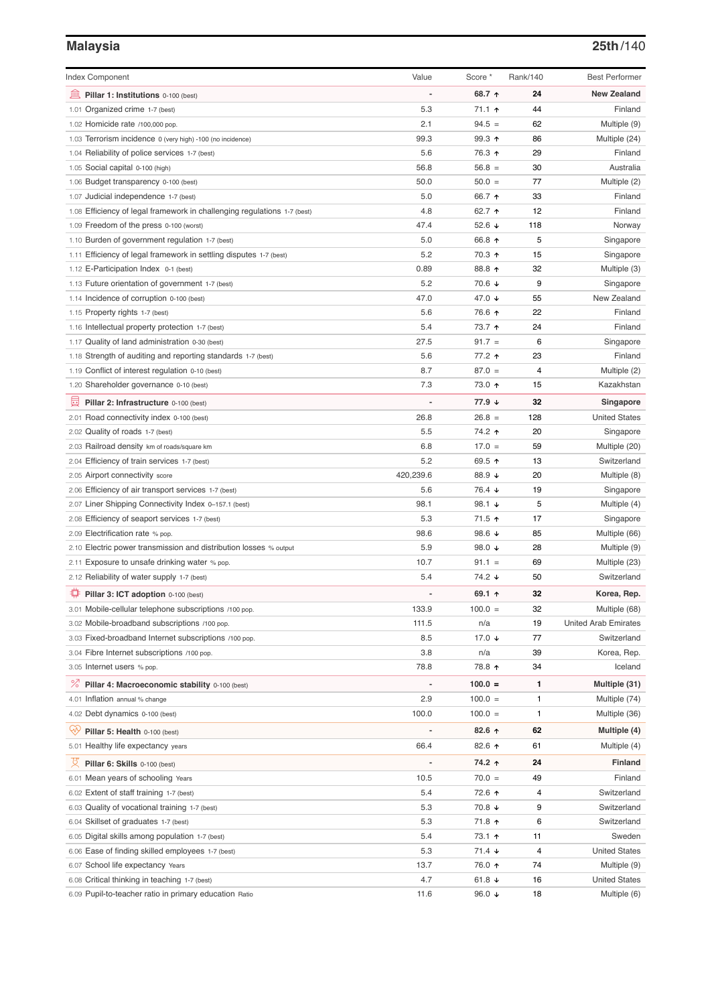### **Malaysia 25th**/140

| <b>Index Component</b>                                                   | Value          | Score *                  | Rank/140 | <b>Best Performer</b>       |
|--------------------------------------------------------------------------|----------------|--------------------------|----------|-----------------------------|
| 寙<br>Pillar 1: Institutions 0-100 (best)                                 |                | 68.7 ↑                   | 24       | <b>New Zealand</b>          |
| 1.01 Organized crime 1-7 (best)                                          | 5.3            | 71.1 ተ                   | 44       | Finland                     |
| 1.02 Homicide rate /100,000 pop.                                         | 2.1            | $94.5 =$                 | 62       | Multiple (9)                |
| 1.03 Terrorism incidence 0 (very high) -100 (no incidence)               | 99.3           | $99.3 \text{ } \Upsilon$ | 86       | Multiple (24)               |
| 1.04 Reliability of police services 1-7 (best)                           | 5.6            | 76.3 ↑                   | 29       | Finland                     |
| 1.05 Social capital 0-100 (high)                                         | 56.8           | $56.8 =$                 | 30       | Australia                   |
| 1.06 Budget transparency 0-100 (best)                                    | 50.0           | $50.0 =$                 | 77       | Multiple (2)                |
| 1.07 Judicial independence 1-7 (best)                                    | 5.0            | 66.7 ↑                   | 33       | Finland                     |
| 1.08 Efficiency of legal framework in challenging regulations 1-7 (best) | 4.8            | 62.7 ↑                   | 12       | Finland                     |
| 1.09 Freedom of the press 0-100 (worst)                                  | 47.4           | 52.6 $\sqrt{ }$          | 118      | Norway                      |
| 1.10 Burden of government regulation 1-7 (best)                          | 5.0            | 66.8 ↑                   | 5        | Singapore                   |
| 1.11 Efficiency of legal framework in settling disputes 1-7 (best)       | 5.2            | 70.3 ↑                   | 15       | Singapore                   |
| 1.12 E-Participation Index 0-1 (best)                                    | 0.89           | 88.8 个                   | 32       | Multiple (3)                |
| 1.13 Future orientation of government 1-7 (best)                         | 5.2            | 70.6 ↓                   | 9        | Singapore                   |
| 1.14 Incidence of corruption 0-100 (best)                                | 47.0           | 47.0 ↓                   | 55       | New Zealand                 |
| 1.15 Property rights 1-7 (best)                                          | 5.6            | 76.6 ↑                   | 22       | Finland                     |
| 1.16 Intellectual property protection 1-7 (best)                         | 5.4            | 73.7 ↑                   | 24       | Finland                     |
| 1.17 Quality of land administration 0-30 (best)                          | 27.5           | $91.7 =$                 | 6        | Singapore                   |
| 1.18 Strength of auditing and reporting standards 1-7 (best)             | 5.6            | 77.2 ተ                   | 23       | Finland                     |
| 1.19 Conflict of interest regulation 0-10 (best)                         | 8.7            | $87.0 =$                 | 4        | Multiple (2)                |
| 1.20 Shareholder governance 0-10 (best)                                  | 7.3            | 73.0 个                   | 15       | Kazakhstan                  |
| 員<br>Pillar 2: Infrastructure 0-100 (best)                               |                | 77.9 ↓                   | 32       | Singapore                   |
| 2.01 Road connectivity index 0-100 (best)                                | 26.8           | $26.8 =$                 | 128      | <b>United States</b>        |
| 2.02 Quality of roads 1-7 (best)                                         | 5.5            | 74.2 ተ                   | 20       | Singapore                   |
| 2.03 Railroad density km of roads/square km                              | 6.8            | $17.0 =$                 | 59       | Multiple (20)               |
| 2.04 Efficiency of train services 1-7 (best)                             | 5.2            | 69.5 ↑                   | 13       | Switzerland                 |
| 2.05 Airport connectivity score                                          | 420,239.6      | 88.9 ↓                   | 20       | Multiple (8)                |
| 2.06 Efficiency of air transport services 1-7 (best)                     | 5.6            | 76.4 ↓                   | 19       | Singapore                   |
| 2.07 Liner Shipping Connectivity Index 0-157.1 (best)                    | 98.1           | 98.1 $\sqrt{ }$          | 5        | Multiple (4)                |
| 2.08 Efficiency of seaport services 1-7 (best)                           | 5.3            | 71.5 ↑                   | 17       | Singapore                   |
| 2.09 Electrification rate % pop.                                         | 98.6           | 98.6 $\sqrt{ }$          | 85       | Multiple (66)               |
| 2.10 Electric power transmission and distribution losses % output        | 5.9            | 98.0 $\sqrt{ }$          | 28       | Multiple (9)                |
| 2.11 Exposure to unsafe drinking water % pop.                            | 10.7           | $91.1 =$                 | 69       | Multiple (23)               |
| 2.12 Reliability of water supply 1-7 (best)                              | 5.4            | 74.2 ↓                   | 50       | Switzerland                 |
| O<br>Pillar 3: ICT adoption 0-100 (best)                                 |                | 69.1 $\uparrow$          | 32       | Korea, Rep.                 |
| 3.01 Mobile-cellular telephone subscriptions /100 pop.                   | 133.9          | $100.0 =$                | 32       | Multiple (68)               |
| 3.02 Mobile-broadband subscriptions /100 pop.                            | 111.5          | n/a                      | 19       | <b>United Arab Emirates</b> |
| 3.03 Fixed-broadband Internet subscriptions /100 pop.                    | 8.5            | 17.0 ↓                   | 77       | Switzerland                 |
| 3.04 Fibre Internet subscriptions /100 pop.                              | 3.8            | n/a                      | 39       | Korea, Rep.                 |
| 3.05 Internet users % pop.                                               | 78.8           | 78.8 ↑                   | 34       | Iceland                     |
| ℅<br>Pillar 4: Macroeconomic stability 0-100 (best)                      | $\overline{a}$ | $100.0 =$                | 1        | Multiple (31)               |
| 4.01 Inflation annual % change                                           | 2.9            | $100.0 =$                | 1        | Multiple (74)               |
| 4.02 Debt dynamics 0-100 (best)                                          | 100.0          | $100.0 =$                | 1        | Multiple (36)               |
| Qv<br>Pillar 5: Health 0-100 (best)                                      |                | 82.6 ↑                   | 62       | Multiple (4)                |
| 5.01 Healthy life expectancy years                                       | 66.4           | 82.6 ↑                   | 61       | Multiple (4)                |
| 섯<br>Pillar 6: Skills 0-100 (best)                                       | $\overline{a}$ | 74.2 ↑                   | 24       | Finland                     |
| 6.01 Mean years of schooling Years                                       | 10.5           | $70.0 =$                 | 49       | Finland                     |
| 6.02 Extent of staff training 1-7 (best)                                 | 5.4            | 72.6 ↑                   | 4        | Switzerland                 |
| 6.03 Quality of vocational training 1-7 (best)                           | 5.3            | 70.8 ↓                   | 9        | Switzerland                 |
| 6.04 Skillset of graduates 1-7 (best)                                    | 5.3            | 71.8 ↑                   | 6        | Switzerland                 |
| 6.05 Digital skills among population 1-7 (best)                          | 5.4            | 73.1 ↑                   | 11       | Sweden                      |
| 6.06 Ease of finding skilled employees 1-7 (best)                        | 5.3            | $71.4 \; \downarrow$     | 4        | <b>United States</b>        |
| 6.07 School life expectancy Years                                        | 13.7           | 76.0 ↑                   | 74       | Multiple (9)                |
| 6.08 Critical thinking in teaching 1-7 (best)                            | 4.7            | 61.8 $\sqrt{ }$          | 16       | <b>United States</b>        |
| 6.09 Pupil-to-teacher ratio in primary education Ratio                   | 11.6           | 96.0 $\sqrt{ }$          | 18       | Multiple (6)                |